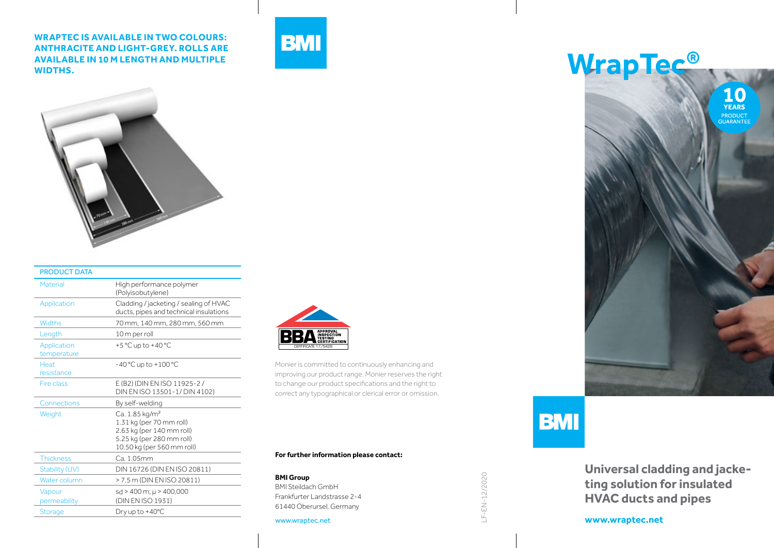**WRAPTEC IS AVAILABLE IN TWO COLOURS: ANTHRACITE AND LIGHT-GREY. ROLLS ARE AVAILABLE IN 10 M LENGTH AND MULTIPLE WIDTHS.**





| <b>PRODUCT DATA</b>        |                                                                                                                                                |
|----------------------------|------------------------------------------------------------------------------------------------------------------------------------------------|
| Material                   | High performance polymer<br>(Polyisobutylene)                                                                                                  |
| Application                | Cladding / jacketing / sealing of HVAC<br>ducts, pipes and technical insulations                                                               |
| <b>Widths</b>              | 70 mm, 140 mm, 280 mm, 560 mm                                                                                                                  |
| Length                     | 10 m per roll                                                                                                                                  |
| Application<br>temperature | +5 °C up to +40 °C                                                                                                                             |
| <b>Heat</b><br>resistance  | $-40 °C$ up to $+100 °C$                                                                                                                       |
| Fire class                 | E (B2) (DIN EN ISO 11925-2/<br>DIN EN ISO 13501-1/ DIN 4102)                                                                                   |
| Connections                | By self-welding                                                                                                                                |
| Weight                     | Ca. 1.85 kg/m <sup>2</sup><br>1.31 kg (per 70 mm roll)<br>2.63 kg (per 140 mm roll)<br>5.25 kg (per 280 mm roll)<br>10.50 kg (per 560 mm roll) |
| <b>Thickness</b>           | Ca 105mm                                                                                                                                       |
| Stability (UV)             | DIN 16726 (DIN EN ISO 20811)                                                                                                                   |
| Water column               | > 7.5 m (DIN EN ISO 20811)                                                                                                                     |
| Vapour<br>permeability     | sd > 400 m; µ > 400,000<br>(DIN EN ISO 1931)                                                                                                   |
| <b>Storage</b>             | Dry up to +40°C                                                                                                                                |



Monier is committed to continuously enhancing and improving our product range. Monier reserves the right to change our product specifications and the right to correct any typographical or clerical error or omission.

**For further information please contact:**

**BMI Group** BMI Steildach GmbH Frankfurter Landstrasse 2-4 61440 Oberursel, Germany

www.wraptec.net

**WrapTec® 10**<br>YEARS **PRODUCT**<br>GUARANTEE



LF-EN-12/2020

LF-EN-12/2020

**Universal cladding and jacketing solution for insulated HVAC ducts and pipes**

**www.wraptec.net**